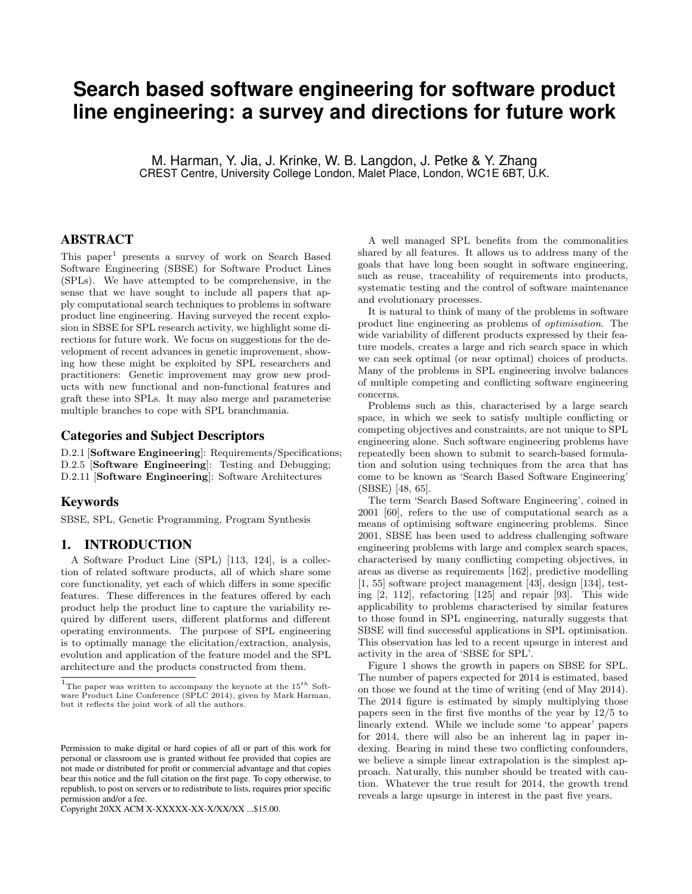# **Search based software engineering for software product line engineering: a survey and directions for future work**

M. Harman, Y. Jia, J. Krinke, W. B. Langdon, J. Petke & Y. Zhang CREST Centre, University College London, Malet Place, London, WC1E 6BT, U.K.

# ABSTRACT

This paper<sup>1</sup> presents a survey of work on Search Based Software Engineering (SBSE) for Software Product Lines (SPLs). We have attempted to be comprehensive, in the sense that we have sought to include all papers that apply computational search techniques to problems in software product line engineering. Having surveyed the recent explosion in SBSE for SPL research activity, we highlight some directions for future work. We focus on suggestions for the development of recent advances in genetic improvement, showing how these might be exploited by SPL researchers and practitioners: Genetic improvement may grow new products with new functional and non-functional features and graft these into SPLs. It may also merge and parameterise multiple branches to cope with SPL branchmania.

## Categories and Subject Descriptors

D.2.1 [Software Engineering]: Requirements/Specifications; D.2.5 [Software Engineering]: Testing and Debugging; D.2.11 [Software Engineering]: Software Architectures

## Keywords

SBSE, SPL, Genetic Programming, Program Synthesis

### 1. INTRODUCTION

A Software Product Line (SPL) [113, 124], is a collection of related software products, all of which share some core functionality, yet each of which differs in some specific features. These differences in the features offered by each product help the product line to capture the variability required by different users, different platforms and different operating environments. The purpose of SPL engineering is to optimally manage the elicitation/extraction, analysis, evolution and application of the feature model and the SPL architecture and the products constructed from them.

Copyright 20XX ACM X-XXXXX-XX-X/XX/XX ...\$15.00.

A well managed SPL benefits from the commonalities shared by all features. It allows us to address many of the goals that have long been sought in software engineering, such as reuse, traceability of requirements into products, systematic testing and the control of software maintenance and evolutionary processes.

It is natural to think of many of the problems in software product line engineering as problems of optimisation. The wide variability of different products expressed by their feature models, creates a large and rich search space in which we can seek optimal (or near optimal) choices of products. Many of the problems in SPL engineering involve balances of multiple competing and conflicting software engineering concerns.

Problems such as this, characterised by a large search space, in which we seek to satisfy multiple conflicting or competing objectives and constraints, are not unique to SPL engineering alone. Such software engineering problems have repeatedly been shown to submit to search-based formulation and solution using techniques from the area that has come to be known as 'Search Based Software Engineering' (SBSE) [48, 65].

The term 'Search Based Software Engineering', coined in 2001 [60], refers to the use of computational search as a means of optimising software engineering problems. Since 2001, SBSE has been used to address challenging software engineering problems with large and complex search spaces, characterised by many conflicting competing objectives, in areas as diverse as requirements [162], predictive modelling [1, 55] software project management [43], design [134], testing [2, 112], refactoring [125] and repair [93]. This wide applicability to problems characterised by similar features to those found in SPL engineering, naturally suggests that SBSE will find successful applications in SPL optimisation. This observation has led to a recent upsurge in interest and activity in the area of 'SBSE for SPL'.

Figure 1 shows the growth in papers on SBSE for SPL. The number of papers expected for 2014 is estimated, based on those we found at the time of writing (end of May 2014). The 2014 figure is estimated by simply multiplying those papers seen in the first five months of the year by 12/5 to linearly extend. While we include some 'to appear' papers for 2014, there will also be an inherent lag in paper indexing. Bearing in mind these two conflicting confounders, we believe a simple linear extrapolation is the simplest approach. Naturally, this number should be treated with caution. Whatever the true result for 2014, the growth trend reveals a large upsurge in interest in the past five years.

<sup>&</sup>lt;sup>1</sup>The paper was written to accompany the keynote at the  $15^{th}$  Software Product Line Conference (SPLC 2014), given by Mark Harman, but it reflects the joint work of all the authors.

Permission to make digital or hard copies of all or part of this work for personal or classroom use is granted without fee provided that copies are not made or distributed for profit or commercial advantage and that copies bear this notice and the full citation on the first page. To copy otherwise, to republish, to post on servers or to redistribute to lists, requires prior specific permission and/or a fee.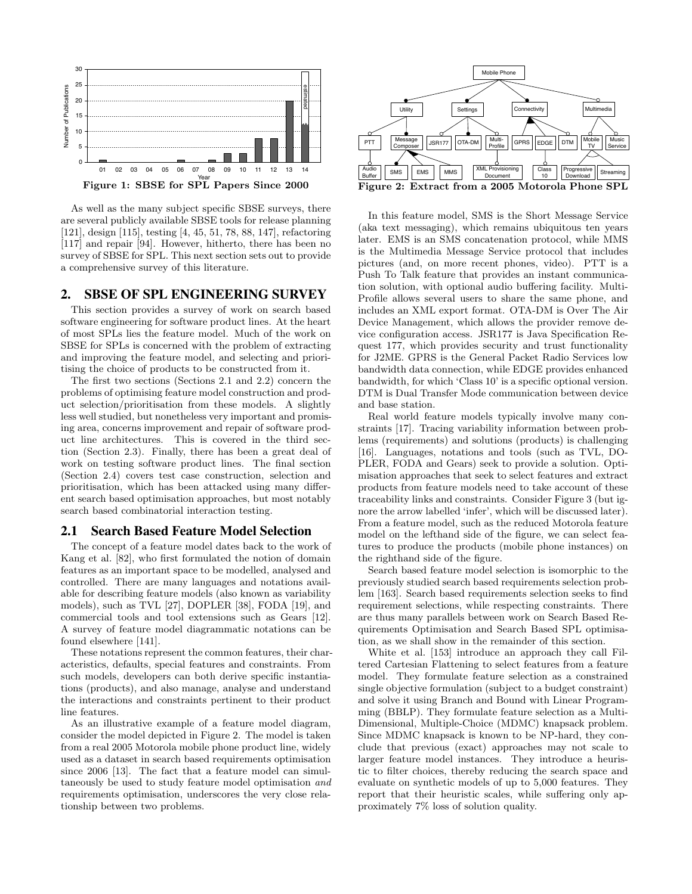

As well as the many subject specific SBSE surveys, there are several publicly available SBSE tools for release planning [121], design [115], testing [4, 45, 51, 78, 88, 147], refactoring [117] and repair [94]. However, hitherto, there has been no survey of SBSE for SPL. This next section sets out to provide a comprehensive survey of this literature.

## 2. SBSE OF SPL ENGINEERING SURVEY

This section provides a survey of work on search based software engineering for software product lines. At the heart of most SPLs lies the feature model. Much of the work on SBSE for SPLs is concerned with the problem of extracting and improving the feature model, and selecting and prioritising the choice of products to be constructed from it.

The first two sections (Sections 2.1 and 2.2) concern the problems of optimising feature model construction and product selection/prioritisation from these models. A slightly less well studied, but nonetheless very important and promising area, concerns improvement and repair of software product line architectures. This is covered in the third section (Section 2.3). Finally, there has been a great deal of work on testing software product lines. The final section (Section 2.4) covers test case construction, selection and prioritisation, which has been attacked using many different search based optimisation approaches, but most notably search based combinatorial interaction testing.

#### 2.1 Search Based Feature Model Selection

The concept of a feature model dates back to the work of Kang et al. [82], who first formulated the notion of domain features as an important space to be modelled, analysed and controlled. There are many languages and notations available for describing feature models (also known as variability models), such as TVL [27], DOPLER [38], FODA [19], and commercial tools and tool extensions such as Gears [12]. A survey of feature model diagrammatic notations can be found elsewhere [141].

These notations represent the common features, their characteristics, defaults, special features and constraints. From such models, developers can both derive specific instantiations (products), and also manage, analyse and understand the interactions and constraints pertinent to their product line features.

As an illustrative example of a feature model diagram, consider the model depicted in Figure 2. The model is taken from a real 2005 Motorola mobile phone product line, widely used as a dataset in search based requirements optimisation since 2006 [13]. The fact that a feature model can simultaneously be used to study feature model optimisation and requirements optimisation, underscores the very close relationship between two problems.



In this feature model, SMS is the Short Message Service (aka text messaging), which remains ubiquitous ten years later. EMS is an SMS concatenation protocol, while MMS is the Multimedia Message Service protocol that includes pictures (and, on more recent phones, video). PTT is a Push To Talk feature that provides an instant communication solution, with optional audio buffering facility. Multi-Profile allows several users to share the same phone, and includes an XML export format. OTA-DM is Over The Air Device Management, which allows the provider remove device configuration access. JSR177 is Java Specification Request 177, which provides security and trust functionality for J2ME. GPRS is the General Packet Radio Services low bandwidth data connection, while EDGE provides enhanced bandwidth, for which 'Class 10' is a specific optional version. DTM is Dual Transfer Mode communication between device and base station.

Real world feature models typically involve many constraints [17]. Tracing variability information between problems (requirements) and solutions (products) is challenging [16]. Languages, notations and tools (such as TVL, DO-PLER, FODA and Gears) seek to provide a solution. Optimisation approaches that seek to select features and extract products from feature models need to take account of these traceability links and constraints. Consider Figure 3 (but ignore the arrow labelled 'infer', which will be discussed later). From a feature model, such as the reduced Motorola feature model on the lefthand side of the figure, we can select features to produce the products (mobile phone instances) on the righthand side of the figure.

Search based feature model selection is isomorphic to the previously studied search based requirements selection problem [163]. Search based requirements selection seeks to find requirement selections, while respecting constraints. There are thus many parallels between work on Search Based Requirements Optimisation and Search Based SPL optimisation, as we shall show in the remainder of this section.

White et al. [153] introduce an approach they call Filtered Cartesian Flattening to select features from a feature model. They formulate feature selection as a constrained single objective formulation (subject to a budget constraint) and solve it using Branch and Bound with Linear Programming (BBLP). They formulate feature selection as a Multi-Dimensional, Multiple-Choice (MDMC) knapsack problem. Since MDMC knapsack is known to be NP-hard, they conclude that previous (exact) approaches may not scale to larger feature model instances. They introduce a heuristic to filter choices, thereby reducing the search space and evaluate on synthetic models of up to 5,000 features. They report that their heuristic scales, while suffering only approximately 7% loss of solution quality.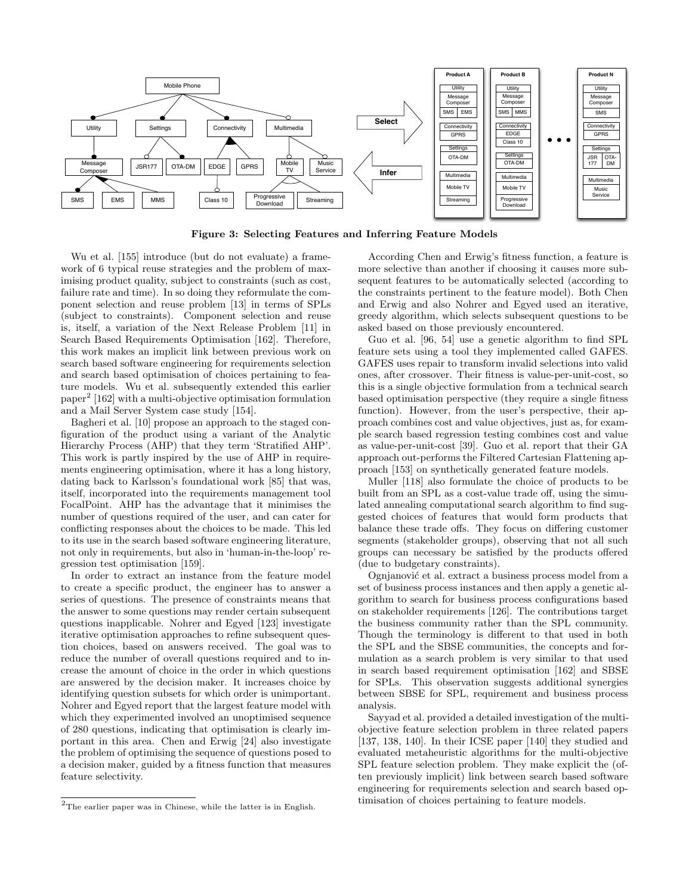

Figure 3: Selecting Features and Inferring Feature Models

Wu et al. [155] introduce (but do not evaluate) a framework of 6 typical reuse strategies and the problem of maximising product quality, subject to constraints (such as cost, failure rate and time). In so doing they reformulate the component selection and reuse problem [13] in terms of SPLs (subject to constraints). Component selection and reuse is, itself, a variation of the Next Release Problem [11] in Search Based Requirements Optimisation [162]. Therefore, this work makes an implicit link between previous work on search based software engineering for requirements selection and search based optimisation of choices pertaining to feature models. Wu et al. subsequently extended this earlier paper<sup>2</sup> [162] with a multi-objective optimisation formulation and a Mail Server System case study [154].

Bagheri et al. [10] propose an approach to the staged configuration of the product using a variant of the Analytic Hierarchy Process (AHP) that they term 'Stratified AHP'. This work is partly inspired by the use of AHP in requirements engineering optimisation, where it has a long history, dating back to Karlsson's foundational work [85] that was, itself, incorporated into the requirements management tool FocalPoint. AHP has the advantage that it minimises the number of questions required of the user, and can cater for conflicting responses about the choices to be made. This led to its use in the search based software engineering literature, not only in requirements, but also in 'human-in-the-loop' regression test optimisation [159].

In order to extract an instance from the feature model to create a specific product, the engineer has to answer a series of questions. The presence of constraints means that the answer to some questions may render certain subsequent questions inapplicable. Nohrer and Egyed [123] investigate iterative optimisation approaches to refine subsequent question choices, based on answers received. The goal was to reduce the number of overall questions required and to increase the amount of choice in the order in which questions are answered by the decision maker. It increases choice by identifying question subsets for which order is unimportant. Nohrer and Egyed report that the largest feature model with which they experimented involved an unoptimised sequence of 280 questions, indicating that optimisation is clearly important in this area. Chen and Erwig [24] also investigate the problem of optimising the sequence of questions posed to a decision maker, guided by a fitness function that measures feature selectivity.

According Chen and Erwig's fitness function, a feature is more selective than another if choosing it causes more subsequent features to be automatically selected (according to the constraints pertinent to the feature model). Both Chen and Erwig and also Nohrer and Egyed used an iterative, greedy algorithm, which selects subsequent questions to be asked based on those previously encountered.

Guo et al. [96, 54] use a genetic algorithm to find SPL feature sets using a tool they implemented called GAFES. GAFES uses repair to transform invalid selections into valid ones, after crossover. Their fitness is value-per-unit-cost, so this is a single objective formulation from a technical search based optimisation perspective (they require a single fitness function). However, from the user's perspective, their approach combines cost and value objectives, just as, for example search based regression testing combines cost and value as value-per-unit-cost [39]. Guo et al. report that their GA approach out-performs the Filtered Cartesian Flattening approach [153] on synthetically generated feature models.

Muller [118] also formulate the choice of products to be built from an SPL as a cost-value trade off, using the simulated annealing computational search algorithm to find suggested choices of features that would form products that balance these trade offs. They focus on differing customer segments (stakeholder groups), observing that not all such groups can necessary be satisfied by the products offered (due to budgetary constraints).

Ognjanović et al. extract a business process model from a set of business process instances and then apply a genetic algorithm to search for business process configurations based on stakeholder requirements [126]. The contributions target the business community rather than the SPL community. Though the terminology is different to that used in both the SPL and the SBSE communities, the concepts and formulation as a search problem is very similar to that used in search based requirement optimisation [162] and SBSE for SPLs. This observation suggests additional synergies between SBSE for SPL, requirement and business process analysis.

Sayyad et al. provided a detailed investigation of the multiobjective feature selection problem in three related papers [137, 138, 140]. In their ICSE paper [140] they studied and evaluated metaheuristic algorithms for the multi-objective SPL feature selection problem. They make explicit the (often previously implicit) link between search based software engineering for requirements selection and search based optimisation of choices pertaining to feature models.

 $^2 \mathrm{The}$  earlier paper was in Chinese, while the latter is in English.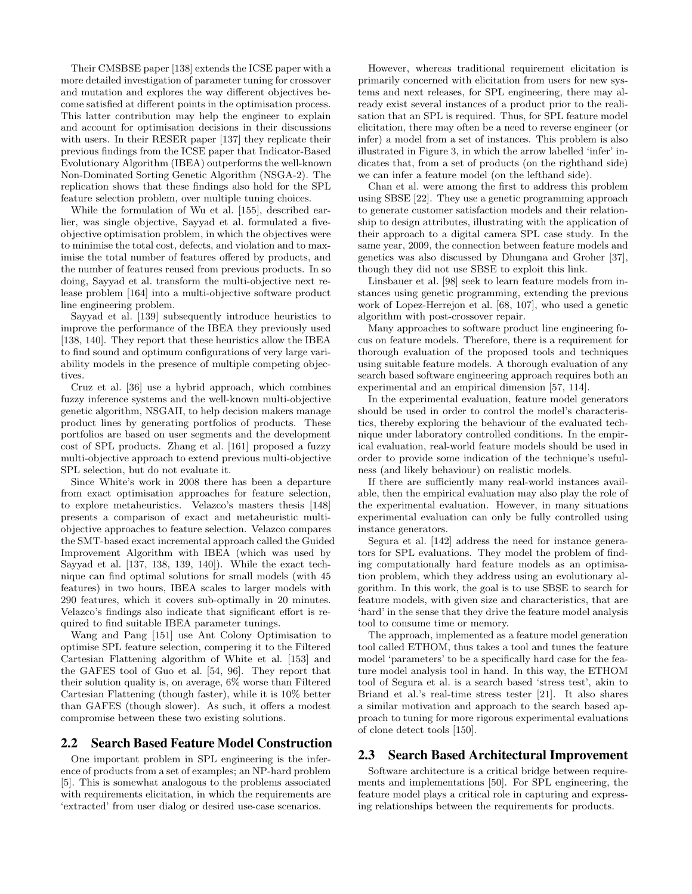Their CMSBSE paper [138] extends the ICSE paper with a more detailed investigation of parameter tuning for crossover and mutation and explores the way different objectives become satisfied at different points in the optimisation process. This latter contribution may help the engineer to explain and account for optimisation decisions in their discussions with users. In their RESER paper [137] they replicate their previous findings from the ICSE paper that Indicator-Based Evolutionary Algorithm (IBEA) outperforms the well-known Non-Dominated Sorting Genetic Algorithm (NSGA-2). The replication shows that these findings also hold for the SPL feature selection problem, over multiple tuning choices.

While the formulation of Wu et al. [155], described earlier, was single objective, Sayyad et al. formulated a fiveobjective optimisation problem, in which the objectives were to minimise the total cost, defects, and violation and to maximise the total number of features offered by products, and the number of features reused from previous products. In so doing, Sayyad et al. transform the multi-objective next release problem [164] into a multi-objective software product line engineering problem.

Sayyad et al. [139] subsequently introduce heuristics to improve the performance of the IBEA they previously used [138, 140]. They report that these heuristics allow the IBEA to find sound and optimum configurations of very large variability models in the presence of multiple competing objectives.

Cruz et al. [36] use a hybrid approach, which combines fuzzy inference systems and the well-known multi-objective genetic algorithm, NSGAII, to help decision makers manage product lines by generating portfolios of products. These portfolios are based on user segments and the development cost of SPL products. Zhang et al. [161] proposed a fuzzy multi-objective approach to extend previous multi-objective SPL selection, but do not evaluate it.

Since White's work in 2008 there has been a departure from exact optimisation approaches for feature selection, to explore metaheuristics. Velazco's masters thesis [148] presents a comparison of exact and metaheuristic multiobjective approaches to feature selection. Velazco compares the SMT-based exact incremental approach called the Guided Improvement Algorithm with IBEA (which was used by Sayyad et al. [137, 138, 139, 140]). While the exact technique can find optimal solutions for small models (with 45 features) in two hours, IBEA scales to larger models with 290 features, which it covers sub-optimally in 20 minutes. Velazco's findings also indicate that significant effort is required to find suitable IBEA parameter tunings.

Wang and Pang [151] use Ant Colony Optimisation to optimise SPL feature selection, compering it to the Filtered Cartesian Flattening algorithm of White et al. [153] and the GAFES tool of Guo et al. [54, 96]. They report that their solution quality is, on average, 6% worse than Filtered Cartesian Flattening (though faster), while it is 10% better than GAFES (though slower). As such, it offers a modest compromise between these two existing solutions.

## 2.2 Search Based Feature Model Construction

One important problem in SPL engineering is the inference of products from a set of examples; an NP-hard problem [5]. This is somewhat analogous to the problems associated with requirements elicitation, in which the requirements are 'extracted' from user dialog or desired use-case scenarios.

However, whereas traditional requirement elicitation is primarily concerned with elicitation from users for new systems and next releases, for SPL engineering, there may already exist several instances of a product prior to the realisation that an SPL is required. Thus, for SPL feature model elicitation, there may often be a need to reverse engineer (or infer) a model from a set of instances. This problem is also illustrated in Figure 3, in which the arrow labelled 'infer' indicates that, from a set of products (on the righthand side) we can infer a feature model (on the lefthand side).

Chan et al. were among the first to address this problem using SBSE [22]. They use a genetic programming approach to generate customer satisfaction models and their relationship to design attributes, illustrating with the application of their approach to a digital camera SPL case study. In the same year, 2009, the connection between feature models and genetics was also discussed by Dhungana and Groher [37], though they did not use SBSE to exploit this link.

Linsbauer et al. [98] seek to learn feature models from instances using genetic programming, extending the previous work of Lopez-Herrejon et al. [68, 107], who used a genetic algorithm with post-crossover repair.

Many approaches to software product line engineering focus on feature models. Therefore, there is a requirement for thorough evaluation of the proposed tools and techniques using suitable feature models. A thorough evaluation of any search based software engineering approach requires both an experimental and an empirical dimension [57, 114].

In the experimental evaluation, feature model generators should be used in order to control the model's characteristics, thereby exploring the behaviour of the evaluated technique under laboratory controlled conditions. In the empirical evaluation, real-world feature models should be used in order to provide some indication of the technique's usefulness (and likely behaviour) on realistic models.

If there are sufficiently many real-world instances available, then the empirical evaluation may also play the role of the experimental evaluation. However, in many situations experimental evaluation can only be fully controlled using instance generators.

Segura et al. [142] address the need for instance generators for SPL evaluations. They model the problem of finding computationally hard feature models as an optimisation problem, which they address using an evolutionary algorithm. In this work, the goal is to use SBSE to search for feature models, with given size and characteristics, that are 'hard' in the sense that they drive the feature model analysis tool to consume time or memory.

The approach, implemented as a feature model generation tool called ETHOM, thus takes a tool and tunes the feature model 'parameters' to be a specifically hard case for the feature model analysis tool in hand. In this way, the ETHOM tool of Segura et al. is a search based 'stress test', akin to Briand et al.'s real-time stress tester [21]. It also shares a similar motivation and approach to the search based approach to tuning for more rigorous experimental evaluations of clone detect tools [150].

# 2.3 Search Based Architectural Improvement

Software architecture is a critical bridge between requirements and implementations [50]. For SPL engineering, the feature model plays a critical role in capturing and expressing relationships between the requirements for products.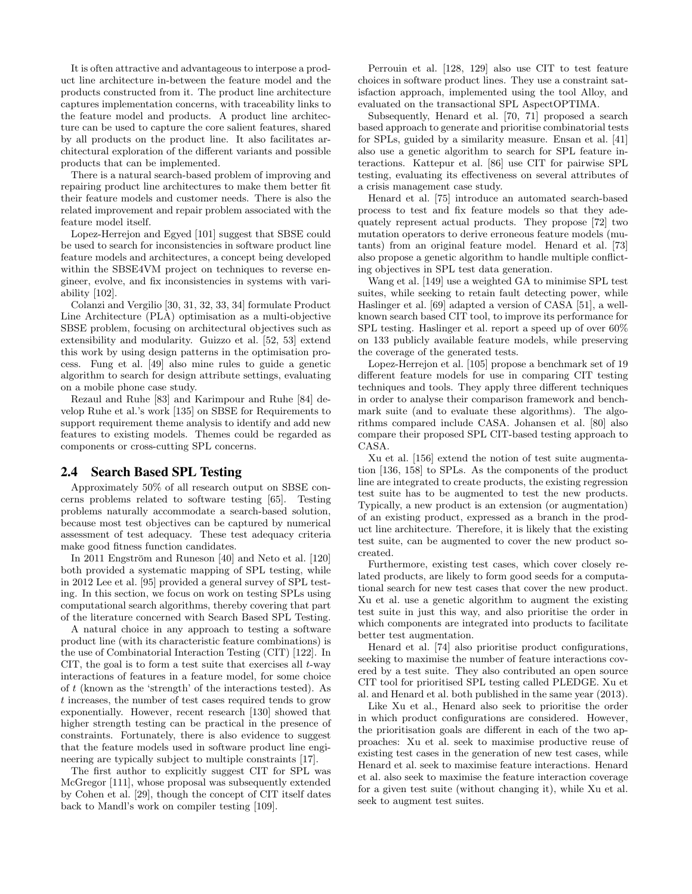It is often attractive and advantageous to interpose a product line architecture in-between the feature model and the products constructed from it. The product line architecture captures implementation concerns, with traceability links to the feature model and products. A product line architecture can be used to capture the core salient features, shared by all products on the product line. It also facilitates architectural exploration of the different variants and possible products that can be implemented.

There is a natural search-based problem of improving and repairing product line architectures to make them better fit their feature models and customer needs. There is also the related improvement and repair problem associated with the feature model itself.

Lopez-Herrejon and Egyed [101] suggest that SBSE could be used to search for inconsistencies in software product line feature models and architectures, a concept being developed within the SBSE4VM project on techniques to reverse engineer, evolve, and fix inconsistencies in systems with variability [102].

Colanzi and Vergilio [30, 31, 32, 33, 34] formulate Product Line Architecture (PLA) optimisation as a multi-objective SBSE problem, focusing on architectural objectives such as extensibility and modularity. Guizzo et al. [52, 53] extend this work by using design patterns in the optimisation process. Fung et al. [49] also mine rules to guide a genetic algorithm to search for design attribute settings, evaluating on a mobile phone case study.

Rezaul and Ruhe [83] and Karimpour and Ruhe [84] develop Ruhe et al.'s work [135] on SBSE for Requirements to support requirement theme analysis to identify and add new features to existing models. Themes could be regarded as components or cross-cutting SPL concerns.

## 2.4 Search Based SPL Testing

Approximately 50% of all research output on SBSE concerns problems related to software testing [65]. Testing problems naturally accommodate a search-based solution, because most test objectives can be captured by numerical assessment of test adequacy. These test adequacy criteria make good fitness function candidates.

In 2011 Engström and Runeson  $[40]$  and Neto et al.  $[120]$ both provided a systematic mapping of SPL testing, while in 2012 Lee et al. [95] provided a general survey of SPL testing. In this section, we focus on work on testing SPLs using computational search algorithms, thereby covering that part of the literature concerned with Search Based SPL Testing.

A natural choice in any approach to testing a software product line (with its characteristic feature combinations) is the use of Combinatorial Interaction Testing (CIT) [122]. In CIT, the goal is to form a test suite that exercises all  $t$ -way interactions of features in a feature model, for some choice of t (known as the 'strength' of the interactions tested). As t increases, the number of test cases required tends to grow exponentially. However, recent research [130] showed that higher strength testing can be practical in the presence of constraints. Fortunately, there is also evidence to suggest that the feature models used in software product line engineering are typically subject to multiple constraints [17].

The first author to explicitly suggest CIT for SPL was McGregor [111], whose proposal was subsequently extended by Cohen et al. [29], though the concept of CIT itself dates back to Mandl's work on compiler testing [109].

Perrouin et al. [128, 129] also use CIT to test feature choices in software product lines. They use a constraint satisfaction approach, implemented using the tool Alloy, and evaluated on the transactional SPL AspectOPTIMA.

Subsequently, Henard et al. [70, 71] proposed a search based approach to generate and prioritise combinatorial tests for SPLs, guided by a similarity measure. Ensan et al. [41] also use a genetic algorithm to search for SPL feature interactions. Kattepur et al. [86] use CIT for pairwise SPL testing, evaluating its effectiveness on several attributes of a crisis management case study.

Henard et al. [75] introduce an automated search-based process to test and fix feature models so that they adequately represent actual products. They propose [72] two mutation operators to derive erroneous feature models (mutants) from an original feature model. Henard et al. [73] also propose a genetic algorithm to handle multiple conflicting objectives in SPL test data generation.

Wang et al. [149] use a weighted GA to minimise SPL test suites, while seeking to retain fault detecting power, while Haslinger et al. [69] adapted a version of CASA [51], a wellknown search based CIT tool, to improve its performance for SPL testing. Haslinger et al. report a speed up of over 60% on 133 publicly available feature models, while preserving the coverage of the generated tests.

Lopez-Herrejon et al. [105] propose a benchmark set of 19 different feature models for use in comparing CIT testing techniques and tools. They apply three different techniques in order to analyse their comparison framework and benchmark suite (and to evaluate these algorithms). The algorithms compared include CASA. Johansen et al. [80] also compare their proposed SPL CIT-based testing approach to CASA.

Xu et al. [156] extend the notion of test suite augmentation [136, 158] to SPLs. As the components of the product line are integrated to create products, the existing regression test suite has to be augmented to test the new products. Typically, a new product is an extension (or augmentation) of an existing product, expressed as a branch in the product line architecture. Therefore, it is likely that the existing test suite, can be augmented to cover the new product socreated.

Furthermore, existing test cases, which cover closely related products, are likely to form good seeds for a computational search for new test cases that cover the new product. Xu et al. use a genetic algorithm to augment the existing test suite in just this way, and also prioritise the order in which components are integrated into products to facilitate better test augmentation.

Henard et al. [74] also prioritise product configurations, seeking to maximise the number of feature interactions covered by a test suite. They also contributed an open source CIT tool for prioritised SPL testing called PLEDGE. Xu et al. and Henard et al. both published in the same year (2013).

Like Xu et al., Henard also seek to prioritise the order in which product configurations are considered. However, the prioritisation goals are different in each of the two approaches: Xu et al. seek to maximise productive reuse of existing test cases in the generation of new test cases, while Henard et al. seek to maximise feature interactions. Henard et al. also seek to maximise the feature interaction coverage for a given test suite (without changing it), while Xu et al. seek to augment test suites.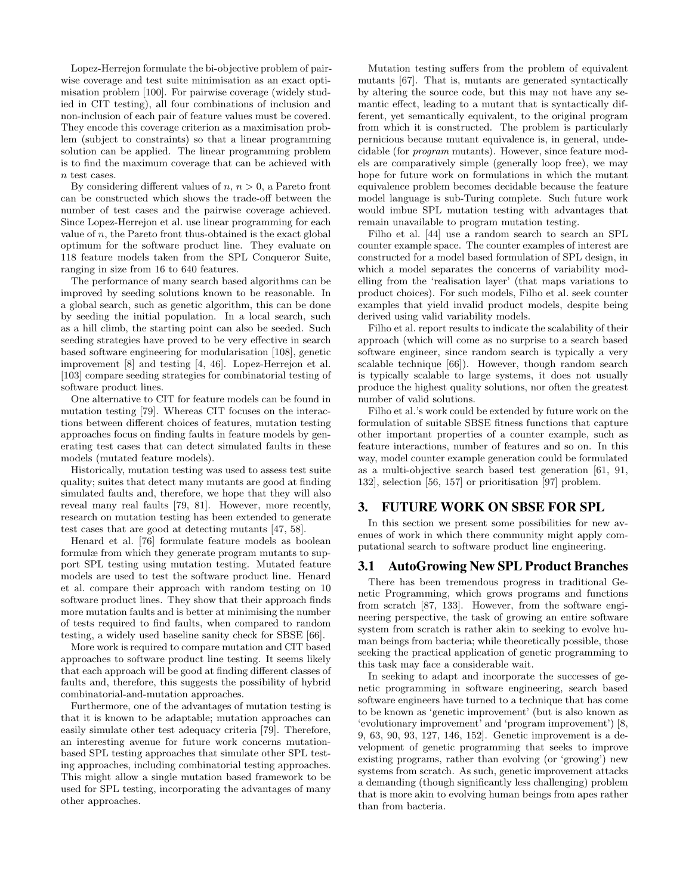Lopez-Herrejon formulate the bi-objective problem of pairwise coverage and test suite minimisation as an exact optimisation problem [100]. For pairwise coverage (widely studied in CIT testing), all four combinations of inclusion and non-inclusion of each pair of feature values must be covered. They encode this coverage criterion as a maximisation problem (subject to constraints) so that a linear programming solution can be applied. The linear programming problem is to find the maximum coverage that can be achieved with n test cases.

By considering different values of  $n, n > 0$ , a Pareto front can be constructed which shows the trade-off between the number of test cases and the pairwise coverage achieved. Since Lopez-Herrejon et al. use linear programming for each value of  $n$ , the Pareto front thus-obtained is the exact global optimum for the software product line. They evaluate on 118 feature models taken from the SPL Conqueror Suite, ranging in size from 16 to 640 features.

The performance of many search based algorithms can be improved by seeding solutions known to be reasonable. In a global search, such as genetic algorithm, this can be done by seeding the initial population. In a local search, such as a hill climb, the starting point can also be seeded. Such seeding strategies have proved to be very effective in search based software engineering for modularisation [108], genetic improvement [8] and testing [4, 46]. Lopez-Herrejon et al. [103] compare seeding strategies for combinatorial testing of software product lines.

One alternative to CIT for feature models can be found in mutation testing [79]. Whereas CIT focuses on the interactions between different choices of features, mutation testing approaches focus on finding faults in feature models by generating test cases that can detect simulated faults in these models (mutated feature models).

Historically, mutation testing was used to assess test suite quality; suites that detect many mutants are good at finding simulated faults and, therefore, we hope that they will also reveal many real faults [79, 81]. However, more recently, research on mutation testing has been extended to generate test cases that are good at detecting mutants [47, 58].

Henard et al. [76] formulate feature models as boolean formulæ from which they generate program mutants to support SPL testing using mutation testing. Mutated feature models are used to test the software product line. Henard et al. compare their approach with random testing on 10 software product lines. They show that their approach finds more mutation faults and is better at minimising the number of tests required to find faults, when compared to random testing, a widely used baseline sanity check for SBSE [66].

More work is required to compare mutation and CIT based approaches to software product line testing. It seems likely that each approach will be good at finding different classes of faults and, therefore, this suggests the possibility of hybrid combinatorial-and-mutation approaches.

Furthermore, one of the advantages of mutation testing is that it is known to be adaptable; mutation approaches can easily simulate other test adequacy criteria [79]. Therefore, an interesting avenue for future work concerns mutationbased SPL testing approaches that simulate other SPL testing approaches, including combinatorial testing approaches. This might allow a single mutation based framework to be used for SPL testing, incorporating the advantages of many other approaches.

Mutation testing suffers from the problem of equivalent mutants [67]. That is, mutants are generated syntactically by altering the source code, but this may not have any semantic effect, leading to a mutant that is syntactically different, yet semantically equivalent, to the original program from which it is constructed. The problem is particularly pernicious because mutant equivalence is, in general, undecidable (for program mutants). However, since feature models are comparatively simple (generally loop free), we may hope for future work on formulations in which the mutant equivalence problem becomes decidable because the feature model language is sub-Turing complete. Such future work would imbue SPL mutation testing with advantages that remain unavailable to program mutation testing.

Filho et al. [44] use a random search to search an SPL counter example space. The counter examples of interest are constructed for a model based formulation of SPL design, in which a model separates the concerns of variability modelling from the 'realisation layer' (that maps variations to product choices). For such models, Filho et al. seek counter examples that yield invalid product models, despite being derived using valid variability models.

Filho et al. report results to indicate the scalability of their approach (which will come as no surprise to a search based software engineer, since random search is typically a very scalable technique [66]). However, though random search is typically scalable to large systems, it does not usually produce the highest quality solutions, nor often the greatest number of valid solutions.

Filho et al.'s work could be extended by future work on the formulation of suitable SBSE fitness functions that capture other important properties of a counter example, such as feature interactions, number of features and so on. In this way, model counter example generation could be formulated as a multi-objective search based test generation [61, 91, 132], selection [56, 157] or prioritisation [97] problem.

## 3. FUTURE WORK ON SBSE FOR SPL

In this section we present some possibilities for new avenues of work in which there community might apply computational search to software product line engineering.

## 3.1 AutoGrowing New SPL Product Branches

There has been tremendous progress in traditional Genetic Programming, which grows programs and functions from scratch [87, 133]. However, from the software engineering perspective, the task of growing an entire software system from scratch is rather akin to seeking to evolve human beings from bacteria; while theoretically possible, those seeking the practical application of genetic programming to this task may face a considerable wait.

In seeking to adapt and incorporate the successes of genetic programming in software engineering, search based software engineers have turned to a technique that has come to be known as 'genetic improvement' (but is also known as 'evolutionary improvement' and 'program improvement') [8, 9, 63, 90, 93, 127, 146, 152]. Genetic improvement is a development of genetic programming that seeks to improve existing programs, rather than evolving (or 'growing') new systems from scratch. As such, genetic improvement attacks a demanding (though significantly less challenging) problem that is more akin to evolving human beings from apes rather than from bacteria.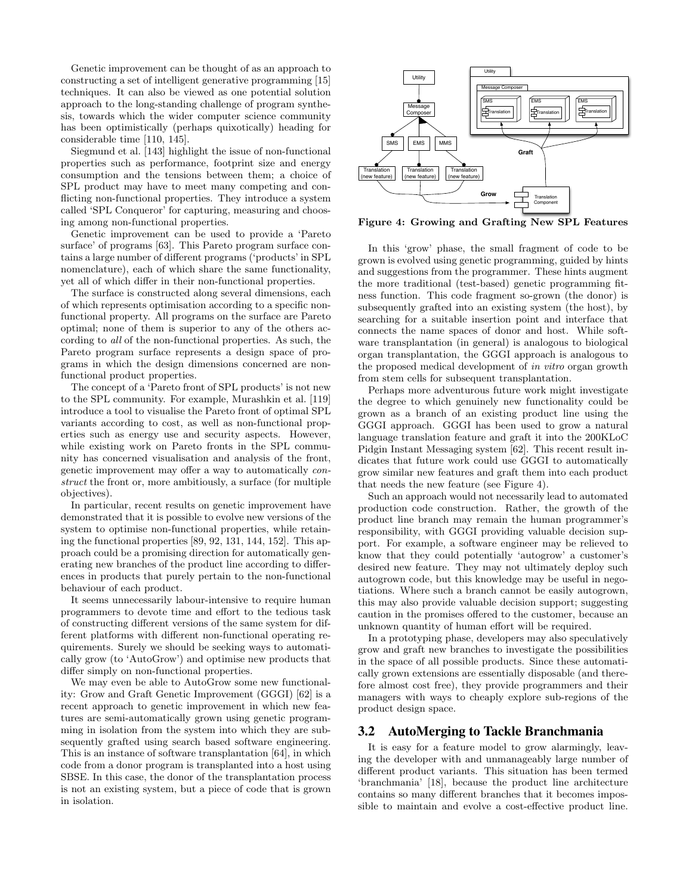Genetic improvement can be thought of as an approach to constructing a set of intelligent generative programming [15] techniques. It can also be viewed as one potential solution approach to the long-standing challenge of program synthesis, towards which the wider computer science community has been optimistically (perhaps quixotically) heading for considerable time [110, 145].

Siegmund et al. [143] highlight the issue of non-functional properties such as performance, footprint size and energy consumption and the tensions between them; a choice of SPL product may have to meet many competing and conflicting non-functional properties. They introduce a system called 'SPL Conqueror' for capturing, measuring and choosing among non-functional properties.

Genetic improvement can be used to provide a 'Pareto surface' of programs [63]. This Pareto program surface contains a large number of different programs ('products' in SPL nomenclature), each of which share the same functionality, yet all of which differ in their non-functional properties.

The surface is constructed along several dimensions, each of which represents optimisation according to a specific nonfunctional property. All programs on the surface are Pareto optimal; none of them is superior to any of the others according to all of the non-functional properties. As such, the Pareto program surface represents a design space of programs in which the design dimensions concerned are nonfunctional product properties.

The concept of a 'Pareto front of SPL products' is not new to the SPL community. For example, Murashkin et al. [119] introduce a tool to visualise the Pareto front of optimal SPL variants according to cost, as well as non-functional properties such as energy use and security aspects. However, while existing work on Pareto fronts in the SPL community has concerned visualisation and analysis of the front, genetic improvement may offer a way to automatically construct the front or, more ambitiously, a surface (for multiple objectives).

In particular, recent results on genetic improvement have demonstrated that it is possible to evolve new versions of the system to optimise non-functional properties, while retaining the functional properties [89, 92, 131, 144, 152]. This approach could be a promising direction for automatically generating new branches of the product line according to differences in products that purely pertain to the non-functional behaviour of each product.

It seems unnecessarily labour-intensive to require human programmers to devote time and effort to the tedious task of constructing different versions of the same system for different platforms with different non-functional operating requirements. Surely we should be seeking ways to automatically grow (to 'AutoGrow') and optimise new products that differ simply on non-functional properties.

We may even be able to AutoGrow some new functionality: Grow and Graft Genetic Improvement (GGGI) [62] is a recent approach to genetic improvement in which new features are semi-automatically grown using genetic programming in isolation from the system into which they are subsequently grafted using search based software engineering. This is an instance of software transplantation [64], in which code from a donor program is transplanted into a host using SBSE. In this case, the donor of the transplantation process is not an existing system, but a piece of code that is grown in isolation.



Figure 4: Growing and Grafting New SPL Features

In this 'grow' phase, the small fragment of code to be grown is evolved using genetic programming, guided by hints and suggestions from the programmer. These hints augment the more traditional (test-based) genetic programming fitness function. This code fragment so-grown (the donor) is subsequently grafted into an existing system (the host), by searching for a suitable insertion point and interface that connects the name spaces of donor and host. While software transplantation (in general) is analogous to biological organ transplantation, the GGGI approach is analogous to the proposed medical development of in vitro organ growth from stem cells for subsequent transplantation.

Perhaps more adventurous future work might investigate the degree to which genuinely new functionality could be grown as a branch of an existing product line using the GGGI approach. GGGI has been used to grow a natural language translation feature and graft it into the 200KLoC Pidgin Instant Messaging system [62]. This recent result indicates that future work could use GGGI to automatically grow similar new features and graft them into each product that needs the new feature (see Figure 4).

Such an approach would not necessarily lead to automated production code construction. Rather, the growth of the product line branch may remain the human programmer's responsibility, with GGGI providing valuable decision support. For example, a software engineer may be relieved to know that they could potentially 'autogrow' a customer's desired new feature. They may not ultimately deploy such autogrown code, but this knowledge may be useful in negotiations. Where such a branch cannot be easily autogrown, this may also provide valuable decision support; suggesting caution in the promises offered to the customer, because an unknown quantity of human effort will be required.

In a prototyping phase, developers may also speculatively grow and graft new branches to investigate the possibilities in the space of all possible products. Since these automatically grown extensions are essentially disposable (and therefore almost cost free), they provide programmers and their managers with ways to cheaply explore sub-regions of the product design space.

## 3.2 AutoMerging to Tackle Branchmania

It is easy for a feature model to grow alarmingly, leaving the developer with and unmanageably large number of different product variants. This situation has been termed 'branchmania' [18], because the product line architecture contains so many different branches that it becomes impossible to maintain and evolve a cost-effective product line.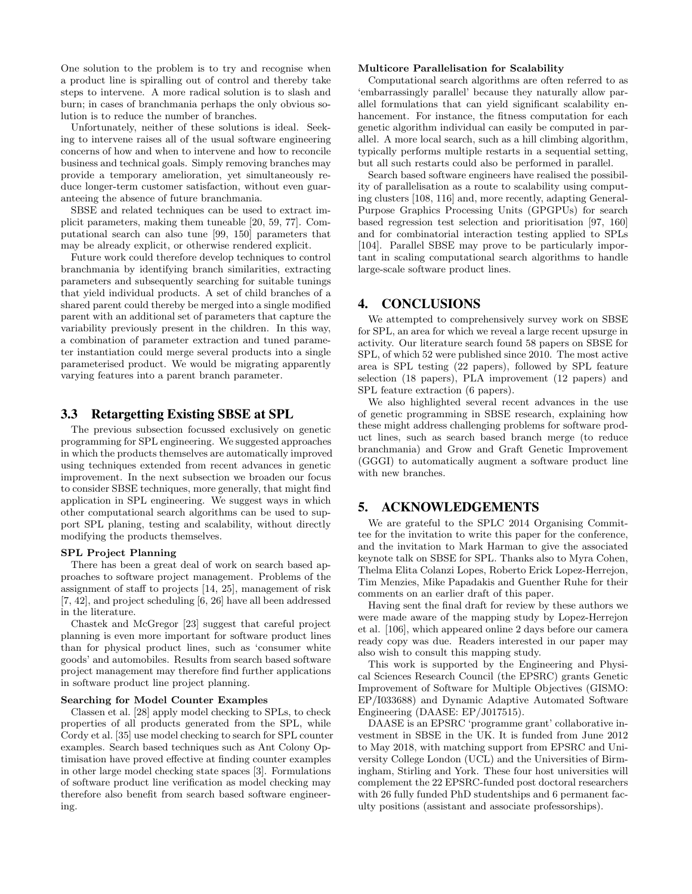One solution to the problem is to try and recognise when a product line is spiralling out of control and thereby take steps to intervene. A more radical solution is to slash and burn; in cases of branchmania perhaps the only obvious solution is to reduce the number of branches.

Unfortunately, neither of these solutions is ideal. Seeking to intervene raises all of the usual software engineering concerns of how and when to intervene and how to reconcile business and technical goals. Simply removing branches may provide a temporary amelioration, yet simultaneously reduce longer-term customer satisfaction, without even guaranteeing the absence of future branchmania.

SBSE and related techniques can be used to extract implicit parameters, making them tuneable [20, 59, 77]. Computational search can also tune [99, 150] parameters that may be already explicit, or otherwise rendered explicit.

Future work could therefore develop techniques to control branchmania by identifying branch similarities, extracting parameters and subsequently searching for suitable tunings that yield individual products. A set of child branches of a shared parent could thereby be merged into a single modified parent with an additional set of parameters that capture the variability previously present in the children. In this way, a combination of parameter extraction and tuned parameter instantiation could merge several products into a single parameterised product. We would be migrating apparently varying features into a parent branch parameter.

## 3.3 Retargetting Existing SBSE at SPL

The previous subsection focussed exclusively on genetic programming for SPL engineering. We suggested approaches in which the products themselves are automatically improved using techniques extended from recent advances in genetic improvement. In the next subsection we broaden our focus to consider SBSE techniques, more generally, that might find application in SPL engineering. We suggest ways in which other computational search algorithms can be used to support SPL planing, testing and scalability, without directly modifying the products themselves.

#### SPL Project Planning

There has been a great deal of work on search based approaches to software project management. Problems of the assignment of staff to projects [14, 25], management of risk [7, 42], and project scheduling [6, 26] have all been addressed in the literature.

Chastek and McGregor [23] suggest that careful project planning is even more important for software product lines than for physical product lines, such as 'consumer white goods' and automobiles. Results from search based software project management may therefore find further applications in software product line project planning.

#### Searching for Model Counter Examples

Classen et al. [28] apply model checking to SPLs, to check properties of all products generated from the SPL, while Cordy et al. [35] use model checking to search for SPL counter examples. Search based techniques such as Ant Colony Optimisation have proved effective at finding counter examples in other large model checking state spaces [3]. Formulations of software product line verification as model checking may therefore also benefit from search based software engineering.

### Multicore Parallelisation for Scalability

Computational search algorithms are often referred to as 'embarrassingly parallel' because they naturally allow parallel formulations that can yield significant scalability enhancement. For instance, the fitness computation for each genetic algorithm individual can easily be computed in parallel. A more local search, such as a hill climbing algorithm, typically performs multiple restarts in a sequential setting, but all such restarts could also be performed in parallel.

Search based software engineers have realised the possibility of parallelisation as a route to scalability using computing clusters [108, 116] and, more recently, adapting General-Purpose Graphics Processing Units (GPGPUs) for search based regression test selection and prioritisation [97, 160] and for combinatorial interaction testing applied to SPLs [104]. Parallel SBSE may prove to be particularly important in scaling computational search algorithms to handle large-scale software product lines.

# 4. CONCLUSIONS

We attempted to comprehensively survey work on SBSE for SPL, an area for which we reveal a large recent upsurge in activity. Our literature search found 58 papers on SBSE for SPL, of which 52 were published since 2010. The most active area is SPL testing (22 papers), followed by SPL feature selection (18 papers), PLA improvement (12 papers) and SPL feature extraction (6 papers).

We also highlighted several recent advances in the use of genetic programming in SBSE research, explaining how these might address challenging problems for software product lines, such as search based branch merge (to reduce branchmania) and Grow and Graft Genetic Improvement (GGGI) to automatically augment a software product line with new branches.

## 5. ACKNOWLEDGEMENTS

We are grateful to the SPLC 2014 Organising Committee for the invitation to write this paper for the conference, and the invitation to Mark Harman to give the associated keynote talk on SBSE for SPL. Thanks also to Myra Cohen, Thelma Elita Colanzi Lopes, Roberto Erick Lopez-Herrejon, Tim Menzies, Mike Papadakis and Guenther Ruhe for their comments on an earlier draft of this paper.

Having sent the final draft for review by these authors we were made aware of the mapping study by Lopez-Herrejon et al. [106], which appeared online 2 days before our camera ready copy was due. Readers interested in our paper may also wish to consult this mapping study.

This work is supported by the Engineering and Physical Sciences Research Council (the EPSRC) grants Genetic Improvement of Software for Multiple Objectives (GISMO: EP/I033688) and Dynamic Adaptive Automated Software Engineering (DAASE: EP/J017515).

DAASE is an EPSRC 'programme grant' collaborative investment in SBSE in the UK. It is funded from June 2012 to May 2018, with matching support from EPSRC and University College London (UCL) and the Universities of Birmingham, Stirling and York. These four host universities will complement the 22 EPSRC-funded post doctoral researchers with 26 fully funded PhD studentships and 6 permanent faculty positions (assistant and associate professorships).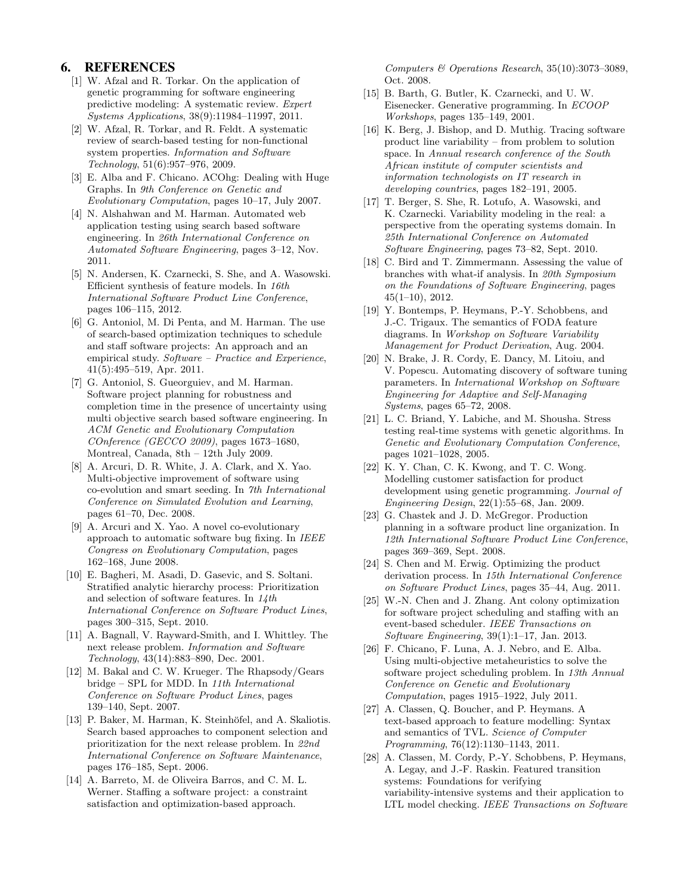## 6. REFERENCES

- [1] W. Afzal and R. Torkar. On the application of genetic programming for software engineering predictive modeling: A systematic review. Expert Systems Applications, 38(9):11984–11997, 2011.
- [2] W. Afzal, R. Torkar, and R. Feldt. A systematic review of search-based testing for non-functional system properties. Information and Software Technology, 51(6):957–976, 2009.
- [3] E. Alba and F. Chicano. ACOhg: Dealing with Huge Graphs. In 9th Conference on Genetic and Evolutionary Computation, pages 10–17, July 2007.
- [4] N. Alshahwan and M. Harman. Automated web application testing using search based software engineering. In 26th International Conference on Automated Software Engineering, pages 3–12, Nov. 2011.
- [5] N. Andersen, K. Czarnecki, S. She, and A. Wasowski. Efficient synthesis of feature models. In 16th International Software Product Line Conference, pages 106–115, 2012.
- [6] G. Antoniol, M. Di Penta, and M. Harman. The use of search-based optimization techniques to schedule and staff software projects: An approach and an empirical study. Software – Practice and Experience, 41(5):495–519, Apr. 2011.
- [7] G. Antoniol, S. Gueorguiev, and M. Harman. Software project planning for robustness and completion time in the presence of uncertainty using multi objective search based software engineering. In ACM Genetic and Evolutionary Computation COnference (GECCO 2009), pages 1673–1680, Montreal, Canada, 8th – 12th July 2009.
- [8] A. Arcuri, D. R. White, J. A. Clark, and X. Yao. Multi-objective improvement of software using co-evolution and smart seeding. In 7th International Conference on Simulated Evolution and Learning, pages 61–70, Dec. 2008.
- [9] A. Arcuri and X. Yao. A novel co-evolutionary approach to automatic software bug fixing. In IEEE Congress on Evolutionary Computation, pages 162–168, June 2008.
- [10] E. Bagheri, M. Asadi, D. Gasevic, and S. Soltani. Stratified analytic hierarchy process: Prioritization and selection of software features. In  $14$ th International Conference on Software Product Lines, pages 300–315, Sept. 2010.
- [11] A. Bagnall, V. Rayward-Smith, and I. Whittley. The next release problem. Information and Software Technology, 43(14):883–890, Dec. 2001.
- [12] M. Bakal and C. W. Krueger. The Rhapsody/Gears bridge – SPL for MDD. In 11th International Conference on Software Product Lines, pages 139–140, Sept. 2007.
- [13] P. Baker, M. Harman, K. Steinhöfel, and A. Skaliotis. Search based approaches to component selection and prioritization for the next release problem. In 22nd International Conference on Software Maintenance, pages 176–185, Sept. 2006.
- [14] A. Barreto, M. de Oliveira Barros, and C. M. L. Werner. Staffing a software project: a constraint satisfaction and optimization-based approach.

Computers & Operations Research, 35(10):3073–3089, Oct. 2008.

- [15] B. Barth, G. Butler, K. Czarnecki, and U. W. Eisenecker. Generative programming. In ECOOP Workshops, pages 135–149, 2001.
- [16] K. Berg, J. Bishop, and D. Muthig. Tracing software product line variability – from problem to solution space. In Annual research conference of the South African institute of computer scientists and information technologists on IT research in developing countries, pages 182–191, 2005.
- [17] T. Berger, S. She, R. Lotufo, A. Wasowski, and K. Czarnecki. Variability modeling in the real: a perspective from the operating systems domain. In 25th International Conference on Automated Software Engineering, pages 73–82, Sept. 2010.
- [18] C. Bird and T. Zimmermann. Assessing the value of branches with what-if analysis. In 20th Symposium on the Foundations of Software Engineering, pages 45(1–10), 2012.
- [19] Y. Bontemps, P. Heymans, P.-Y. Schobbens, and J.-C. Trigaux. The semantics of FODA feature diagrams. In Workshop on Software Variability Management for Product Derivation, Aug. 2004.
- [20] N. Brake, J. R. Cordy, E. Dancy, M. Litoiu, and V. Popescu. Automating discovery of software tuning parameters. In International Workshop on Software Engineering for Adaptive and Self-Managing Systems, pages 65–72, 2008.
- [21] L. C. Briand, Y. Labiche, and M. Shousha. Stress testing real-time systems with genetic algorithms. In Genetic and Evolutionary Computation Conference, pages 1021–1028, 2005.
- [22] K. Y. Chan, C. K. Kwong, and T. C. Wong. Modelling customer satisfaction for product development using genetic programming. Journal of Engineering Design, 22(1):55–68, Jan. 2009.
- [23] G. Chastek and J. D. McGregor. Production planning in a software product line organization. In 12th International Software Product Line Conference, pages 369–369, Sept. 2008.
- [24] S. Chen and M. Erwig. Optimizing the product derivation process. In 15th International Conference on Software Product Lines, pages 35–44, Aug. 2011.
- [25] W.-N. Chen and J. Zhang. Ant colony optimization for software project scheduling and staffing with an event-based scheduler. IEEE Transactions on Software Engineering, 39(1):1–17, Jan. 2013.
- [26] F. Chicano, F. Luna, A. J. Nebro, and E. Alba. Using multi-objective metaheuristics to solve the software project scheduling problem. In 13th Annual Conference on Genetic and Evolutionary Computation, pages 1915–1922, July 2011.
- [27] A. Classen, Q. Boucher, and P. Heymans. A text-based approach to feature modelling: Syntax and semantics of TVL. Science of Computer Programming, 76(12):1130–1143, 2011.
- [28] A. Classen, M. Cordy, P.-Y. Schobbens, P. Heymans, A. Legay, and J.-F. Raskin. Featured transition systems: Foundations for verifying variability-intensive systems and their application to LTL model checking. IEEE Transactions on Software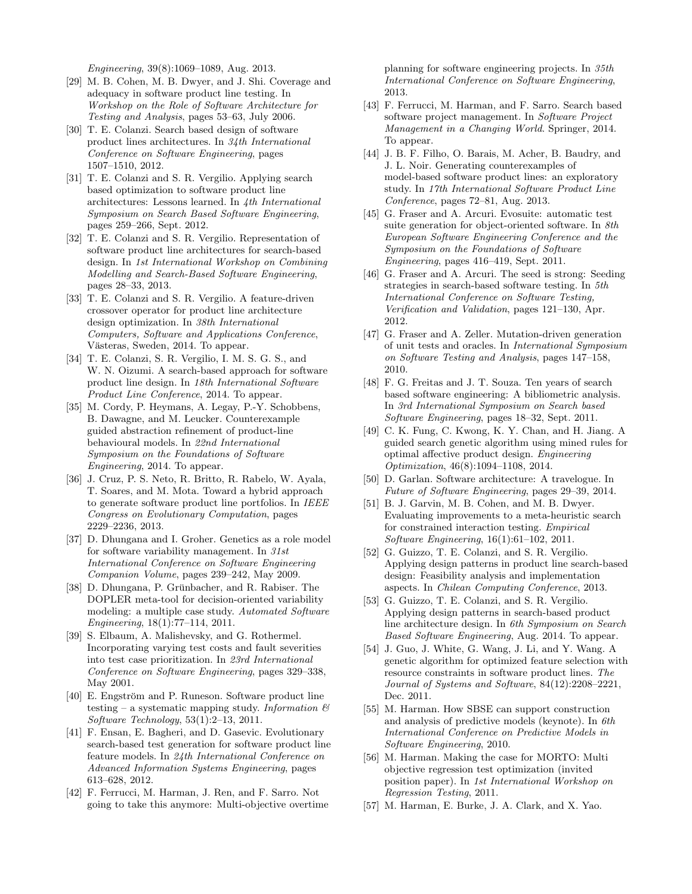Engineering, 39(8):1069–1089, Aug. 2013.

- [29] M. B. Cohen, M. B. Dwyer, and J. Shi. Coverage and adequacy in software product line testing. In Workshop on the Role of Software Architecture for Testing and Analysis, pages 53–63, July 2006.
- [30] T. E. Colanzi. Search based design of software product lines architectures. In 34th International Conference on Software Engineering, pages 1507–1510, 2012.
- [31] T. E. Colanzi and S. R. Vergilio. Applying search based optimization to software product line architectures: Lessons learned. In 4th International Symposium on Search Based Software Engineering, pages 259–266, Sept. 2012.
- [32] T. E. Colanzi and S. R. Vergilio. Representation of software product line architectures for search-based design. In 1st International Workshop on Combining Modelling and Search-Based Software Engineering, pages 28–33, 2013.
- [33] T. E. Colanzi and S. R. Vergilio. A feature-driven crossover operator for product line architecture design optimization. In 38th International Computers, Software and Applications Conference, Västeras, Sweden, 2014. To appear.
- [34] T. E. Colanzi, S. R. Vergilio, I. M. S. G. S., and W. N. Oizumi. A search-based approach for software product line design. In 18th International Software Product Line Conference, 2014. To appear.
- [35] M. Cordy, P. Heymans, A. Legay, P.-Y. Schobbens, B. Dawagne, and M. Leucker. Counterexample guided abstraction refinement of product-line behavioural models. In 22nd International Symposium on the Foundations of Software Engineering, 2014. To appear.
- [36] J. Cruz, P. S. Neto, R. Britto, R. Rabelo, W. Ayala, T. Soares, and M. Mota. Toward a hybrid approach to generate software product line portfolios. In IEEE Congress on Evolutionary Computation, pages 2229–2236, 2013.
- [37] D. Dhungana and I. Groher. Genetics as a role model for software variability management. In 31st International Conference on Software Engineering Companion Volume, pages 239–242, May 2009.
- [38] D. Dhungana, P. Grünbacher, and R. Rabiser. The DOPLER meta-tool for decision-oriented variability modeling: a multiple case study. Automated Software Engineering, 18(1):77–114, 2011.
- [39] S. Elbaum, A. Malishevsky, and G. Rothermel. Incorporating varying test costs and fault severities into test case prioritization. In 23rd International Conference on Software Engineering, pages 329–338, May 2001.
- [40] E. Engström and P. Runeson. Software product line testing – a systematic mapping study. Information  $\mathcal{B}$ Software Technology, 53(1):2–13, 2011.
- [41] F. Ensan, E. Bagheri, and D. Gasevic. Evolutionary search-based test generation for software product line feature models. In 24th International Conference on Advanced Information Systems Engineering, pages 613–628, 2012.
- [42] F. Ferrucci, M. Harman, J. Ren, and F. Sarro. Not going to take this anymore: Multi-objective overtime

planning for software engineering projects. In 35th International Conference on Software Engineering, 2013.

- [43] F. Ferrucci, M. Harman, and F. Sarro. Search based software project management. In Software Project Management in a Changing World. Springer, 2014. To appear.
- [44] J. B. F. Filho, O. Barais, M. Acher, B. Baudry, and J. L. Noir. Generating counterexamples of model-based software product lines: an exploratory study. In 17th International Software Product Line Conference, pages 72–81, Aug. 2013.
- [45] G. Fraser and A. Arcuri. Evosuite: automatic test suite generation for object-oriented software. In 8th European Software Engineering Conference and the Symposium on the Foundations of Software Engineering, pages 416–419, Sept. 2011.
- [46] G. Fraser and A. Arcuri. The seed is strong: Seeding strategies in search-based software testing. In 5th International Conference on Software Testing, Verification and Validation, pages 121–130, Apr. 2012.
- [47] G. Fraser and A. Zeller. Mutation-driven generation of unit tests and oracles. In International Symposium on Software Testing and Analysis, pages 147–158, 2010.
- [48] F. G. Freitas and J. T. Souza. Ten years of search based software engineering: A bibliometric analysis. In 3rd International Symposium on Search based Software Engineering, pages 18–32, Sept. 2011.
- [49] C. K. Fung, C. Kwong, K. Y. Chan, and H. Jiang. A guided search genetic algorithm using mined rules for optimal affective product design. Engineering Optimization, 46(8):1094–1108, 2014.
- [50] D. Garlan. Software architecture: A travelogue. In Future of Software Engineering, pages 29–39, 2014.
- [51] B. J. Garvin, M. B. Cohen, and M. B. Dwyer. Evaluating improvements to a meta-heuristic search for constrained interaction testing. Empirical Software Engineering, 16(1):61–102, 2011.
- [52] G. Guizzo, T. E. Colanzi, and S. R. Vergilio. Applying design patterns in product line search-based design: Feasibility analysis and implementation aspects. In Chilean Computing Conference, 2013.
- [53] G. Guizzo, T. E. Colanzi, and S. R. Vergilio. Applying design patterns in search-based product line architecture design. In 6th Symposium on Search Based Software Engineering, Aug. 2014. To appear.
- [54] J. Guo, J. White, G. Wang, J. Li, and Y. Wang. A genetic algorithm for optimized feature selection with resource constraints in software product lines. The Journal of Systems and Software, 84(12):2208–2221, Dec. 2011.
- [55] M. Harman. How SBSE can support construction and analysis of predictive models (keynote). In 6th International Conference on Predictive Models in Software Engineering, 2010.
- [56] M. Harman. Making the case for MORTO: Multi objective regression test optimization (invited position paper). In 1st International Workshop on Regression Testing, 2011.
- [57] M. Harman, E. Burke, J. A. Clark, and X. Yao.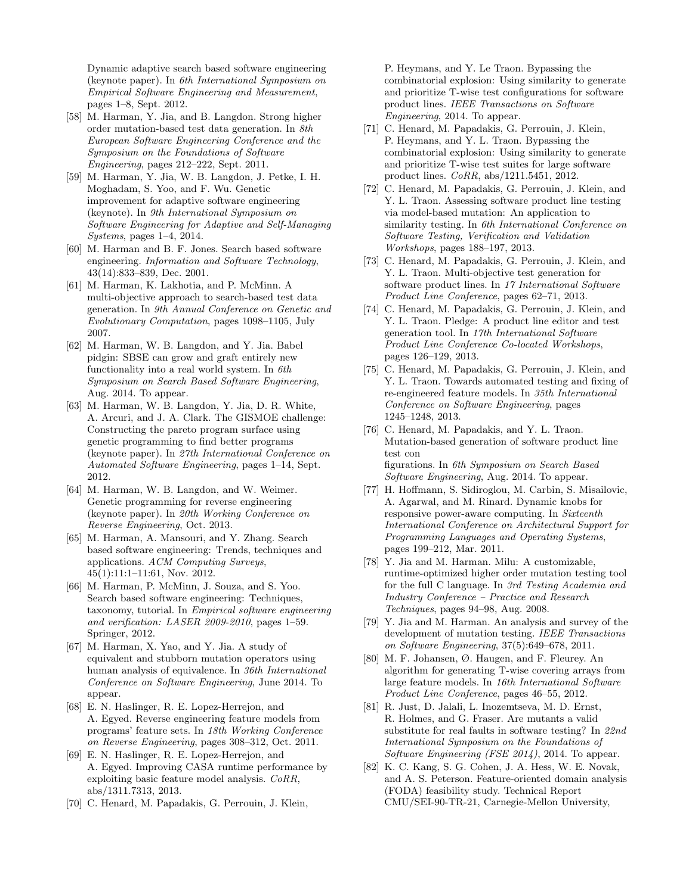Dynamic adaptive search based software engineering (keynote paper). In 6th International Symposium on Empirical Software Engineering and Measurement, pages 1–8, Sept. 2012.

- [58] M. Harman, Y. Jia, and B. Langdon. Strong higher order mutation-based test data generation. In 8th European Software Engineering Conference and the Symposium on the Foundations of Software Engineering, pages 212–222, Sept. 2011.
- [59] M. Harman, Y. Jia, W. B. Langdon, J. Petke, I. H. Moghadam, S. Yoo, and F. Wu. Genetic improvement for adaptive software engineering (keynote). In 9th International Symposium on Software Engineering for Adaptive and Self-Managing Systems, pages 1–4, 2014.
- [60] M. Harman and B. F. Jones. Search based software engineering. Information and Software Technology, 43(14):833–839, Dec. 2001.
- [61] M. Harman, K. Lakhotia, and P. McMinn. A multi-objective approach to search-based test data generation. In 9th Annual Conference on Genetic and Evolutionary Computation, pages 1098–1105, July 2007.
- [62] M. Harman, W. B. Langdon, and Y. Jia. Babel pidgin: SBSE can grow and graft entirely new functionality into a real world system. In 6th Symposium on Search Based Software Engineering, Aug. 2014. To appear.
- [63] M. Harman, W. B. Langdon, Y. Jia, D. R. White, A. Arcuri, and J. A. Clark. The GISMOE challenge: Constructing the pareto program surface using genetic programming to find better programs (keynote paper). In 27th International Conference on Automated Software Engineering, pages 1–14, Sept. 2012.
- [64] M. Harman, W. B. Langdon, and W. Weimer. Genetic programming for reverse engineering (keynote paper). In 20th Working Conference on Reverse Engineering, Oct. 2013.
- [65] M. Harman, A. Mansouri, and Y. Zhang. Search based software engineering: Trends, techniques and applications. ACM Computing Surveys, 45(1):11:1–11:61, Nov. 2012.
- [66] M. Harman, P. McMinn, J. Souza, and S. Yoo. Search based software engineering: Techniques, taxonomy, tutorial. In Empirical software engineering and verification: LASER 2009-2010, pages 1–59. Springer, 2012.
- [67] M. Harman, X. Yao, and Y. Jia. A study of equivalent and stubborn mutation operators using human analysis of equivalence. In 36th International Conference on Software Engineering, June 2014. To appear.
- [68] E. N. Haslinger, R. E. Lopez-Herrejon, and A. Egyed. Reverse engineering feature models from programs' feature sets. In 18th Working Conference on Reverse Engineering, pages 308–312, Oct. 2011.
- [69] E. N. Haslinger, R. E. Lopez-Herrejon, and A. Egyed. Improving CASA runtime performance by exploiting basic feature model analysis. CoRR, abs/1311.7313, 2013.
- [70] C. Henard, M. Papadakis, G. Perrouin, J. Klein,

P. Heymans, and Y. Le Traon. Bypassing the combinatorial explosion: Using similarity to generate and prioritize T-wise test configurations for software product lines. IEEE Transactions on Software Engineering, 2014. To appear.

- [71] C. Henard, M. Papadakis, G. Perrouin, J. Klein, P. Heymans, and Y. L. Traon. Bypassing the combinatorial explosion: Using similarity to generate and prioritize T-wise test suites for large software product lines. CoRR, abs/1211.5451, 2012.
- [72] C. Henard, M. Papadakis, G. Perrouin, J. Klein, and Y. L. Traon. Assessing software product line testing via model-based mutation: An application to similarity testing. In 6th International Conference on Software Testing, Verification and Validation Workshops, pages 188–197, 2013.
- [73] C. Henard, M. Papadakis, G. Perrouin, J. Klein, and Y. L. Traon. Multi-objective test generation for software product lines. In 17 International Software Product Line Conference, pages 62–71, 2013.
- [74] C. Henard, M. Papadakis, G. Perrouin, J. Klein, and Y. L. Traon. Pledge: A product line editor and test generation tool. In 17th International Software Product Line Conference Co-located Workshops, pages 126–129, 2013.
- [75] C. Henard, M. Papadakis, G. Perrouin, J. Klein, and Y. L. Traon. Towards automated testing and fixing of re-engineered feature models. In 35th International Conference on Software Engineering, pages 1245–1248, 2013.
- [76] C. Henard, M. Papadakis, and Y. L. Traon. Mutation-based generation of software product line test con figurations. In 6th Symposium on Search Based Software Engineering, Aug. 2014. To appear.
- [77] H. Hoffmann, S. Sidiroglou, M. Carbin, S. Misailovic, A. Agarwal, and M. Rinard. Dynamic knobs for responsive power-aware computing. In Sixteenth International Conference on Architectural Support for Programming Languages and Operating Systems, pages 199–212, Mar. 2011.
- [78] Y. Jia and M. Harman. Milu: A customizable, runtime-optimized higher order mutation testing tool for the full C language. In 3rd Testing Academia and Industry Conference – Practice and Research Techniques, pages 94–98, Aug. 2008.
- [79] Y. Jia and M. Harman. An analysis and survey of the development of mutation testing. IEEE Transactions on Software Engineering, 37(5):649–678, 2011.
- [80] M. F. Johansen, Ø. Haugen, and F. Fleurey. An algorithm for generating T-wise covering arrays from large feature models. In 16th International Software Product Line Conference, pages 46–55, 2012.
- [81] R. Just, D. Jalali, L. Inozemtseva, M. D. Ernst, R. Holmes, and G. Fraser. Are mutants a valid substitute for real faults in software testing? In 22nd International Symposium on the Foundations of Software Engineering (FSE 2014), 2014. To appear.
- [82] K. C. Kang, S. G. Cohen, J. A. Hess, W. E. Novak, and A. S. Peterson. Feature-oriented domain analysis (FODA) feasibility study. Technical Report CMU/SEI-90-TR-21, Carnegie-Mellon University,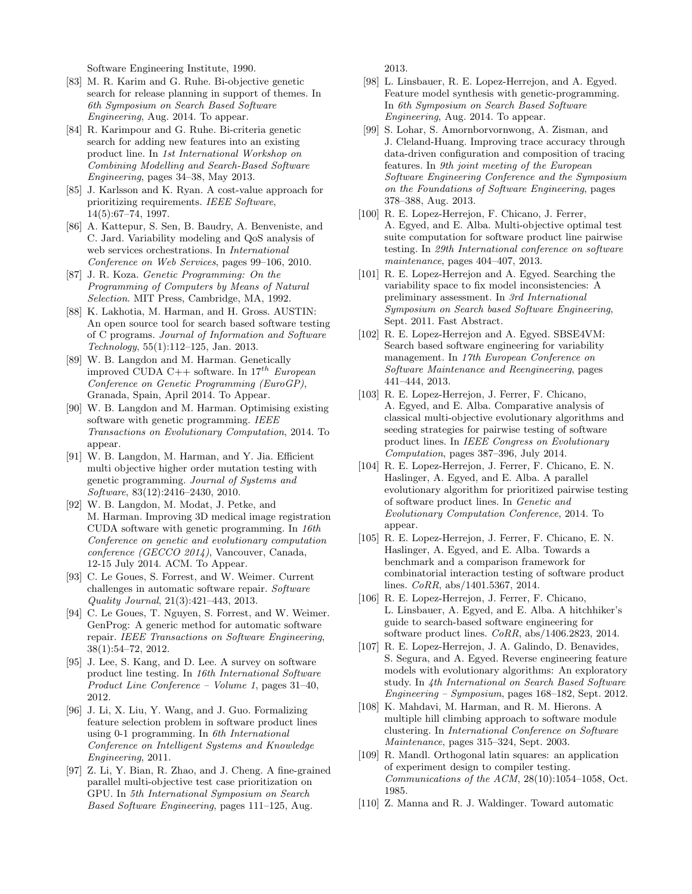Software Engineering Institute, 1990.

- [83] M. R. Karim and G. Ruhe. Bi-objective genetic search for release planning in support of themes. In 6th Symposium on Search Based Software Engineering, Aug. 2014. To appear.
- [84] R. Karimpour and G. Ruhe. Bi-criteria genetic search for adding new features into an existing product line. In 1st International Workshop on Combining Modelling and Search-Based Software Engineering, pages 34–38, May 2013.
- [85] J. Karlsson and K. Ryan. A cost-value approach for prioritizing requirements. IEEE Software, 14(5):67–74, 1997.
- [86] A. Kattepur, S. Sen, B. Baudry, A. Benveniste, and C. Jard. Variability modeling and QoS analysis of web services orchestrations. In International Conference on Web Services, pages 99–106, 2010.
- [87] J. R. Koza. Genetic Programming: On the Programming of Computers by Means of Natural Selection. MIT Press, Cambridge, MA, 1992.
- [88] K. Lakhotia, M. Harman, and H. Gross. AUSTIN: An open source tool for search based software testing of C programs. Journal of Information and Software Technology, 55(1):112–125, Jan. 2013.
- [89] W. B. Langdon and M. Harman. Genetically improved CUDA C++ software. In  $17^{th}$  European Conference on Genetic Programming (EuroGP), Granada, Spain, April 2014. To Appear.
- [90] W. B. Langdon and M. Harman. Optimising existing software with genetic programming. IEEE Transactions on Evolutionary Computation, 2014. To appear.
- [91] W. B. Langdon, M. Harman, and Y. Jia. Efficient multi objective higher order mutation testing with genetic programming. Journal of Systems and Software, 83(12):2416–2430, 2010.
- [92] W. B. Langdon, M. Modat, J. Petke, and M. Harman. Improving 3D medical image registration CUDA software with genetic programming. In 16th Conference on genetic and evolutionary computation conference (GECCO 2014), Vancouver, Canada, 12-15 July 2014. ACM. To Appear.
- [93] C. Le Goues, S. Forrest, and W. Weimer. Current challenges in automatic software repair. Software Quality Journal, 21(3):421–443, 2013.
- [94] C. Le Goues, T. Nguyen, S. Forrest, and W. Weimer. GenProg: A generic method for automatic software repair. IEEE Transactions on Software Engineering, 38(1):54–72, 2012.
- [95] J. Lee, S. Kang, and D. Lee. A survey on software product line testing. In 16th International Software Product Line Conference – Volume 1, pages 31–40, 2012.
- [96] J. Li, X. Liu, Y. Wang, and J. Guo. Formalizing feature selection problem in software product lines using 0-1 programming. In 6th International Conference on Intelligent Systems and Knowledge Engineering, 2011.
- [97] Z. Li, Y. Bian, R. Zhao, and J. Cheng. A fine-grained parallel multi-objective test case prioritization on GPU. In 5th International Symposium on Search Based Software Engineering, pages 111–125, Aug.

2013.

- [98] L. Linsbauer, R. E. Lopez-Herrejon, and A. Egyed. Feature model synthesis with genetic-programming. In 6th Symposium on Search Based Software Engineering, Aug. 2014. To appear.
- [99] S. Lohar, S. Amornborvornwong, A. Zisman, and J. Cleland-Huang. Improving trace accuracy through data-driven configuration and composition of tracing features. In 9th joint meeting of the European Software Engineering Conference and the Symposium on the Foundations of Software Engineering, pages 378–388, Aug. 2013.
- [100] R. E. Lopez-Herrejon, F. Chicano, J. Ferrer, A. Egyed, and E. Alba. Multi-objective optimal test suite computation for software product line pairwise testing. In 29th International conference on software maintenance, pages 404–407, 2013.
- [101] R. E. Lopez-Herrejon and A. Egyed. Searching the variability space to fix model inconsistencies: A preliminary assessment. In 3rd International Symposium on Search based Software Engineering, Sept. 2011. Fast Abstract.
- [102] R. E. Lopez-Herrejon and A. Egyed. SBSE4VM: Search based software engineering for variability management. In 17th European Conference on Software Maintenance and Reengineering, pages 441–444, 2013.
- [103] R. E. Lopez-Herrejon, J. Ferrer, F. Chicano, A. Egyed, and E. Alba. Comparative analysis of classical multi-objective evolutionary algorithms and seeding strategies for pairwise testing of software product lines. In IEEE Congress on Evolutionary Computation, pages 387–396, July 2014.
- [104] R. E. Lopez-Herrejon, J. Ferrer, F. Chicano, E. N. Haslinger, A. Egyed, and E. Alba. A parallel evolutionary algorithm for prioritized pairwise testing of software product lines. In Genetic and Evolutionary Computation Conference, 2014. To appear.
- [105] R. E. Lopez-Herrejon, J. Ferrer, F. Chicano, E. N. Haslinger, A. Egyed, and E. Alba. Towards a benchmark and a comparison framework for combinatorial interaction testing of software product lines. CoRR, abs/1401.5367, 2014.
- [106] R. E. Lopez-Herrejon, J. Ferrer, F. Chicano, L. Linsbauer, A. Egyed, and E. Alba. A hitchhiker's guide to search-based software engineering for software product lines. CoRR, abs/1406.2823, 2014.
- [107] R. E. Lopez-Herrejon, J. A. Galindo, D. Benavides, S. Segura, and A. Egyed. Reverse engineering feature models with evolutionary algorithms: An exploratory study. In 4th International on Search Based Software Engineering – Symposium, pages 168–182, Sept. 2012.
- [108] K. Mahdavi, M. Harman, and R. M. Hierons. A multiple hill climbing approach to software module clustering. In International Conference on Software Maintenance, pages 315–324, Sept. 2003.
- [109] R. Mandl. Orthogonal latin squares: an application of experiment design to compiler testing. Communications of the ACM, 28(10):1054–1058, Oct. 1985.
- [110] Z. Manna and R. J. Waldinger. Toward automatic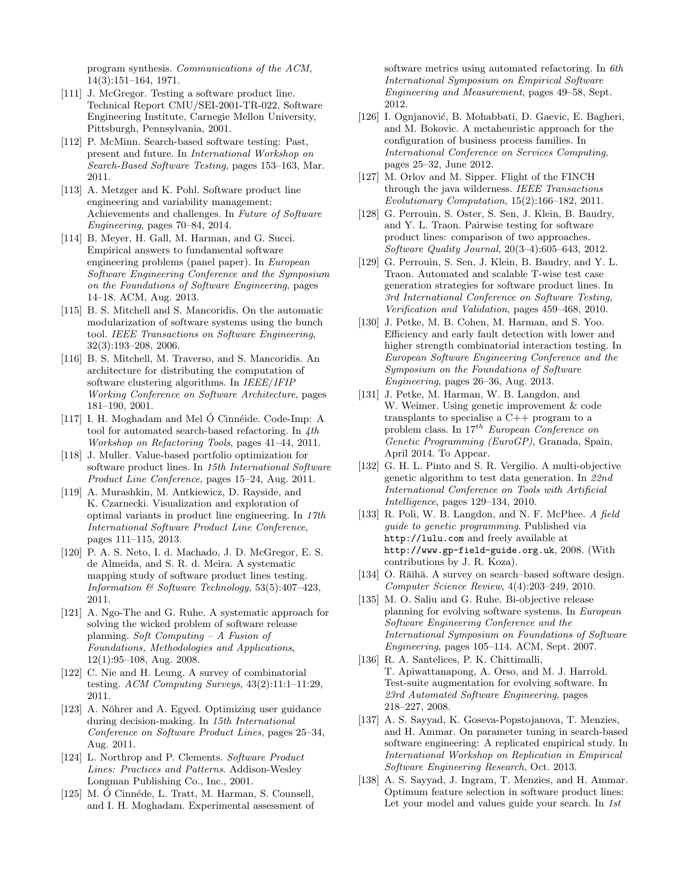program synthesis. Communications of the ACM, 14(3):151–164, 1971.

- [111] J. McGregor. Testing a software product line. Technical Report CMU/SEI-2001-TR-022, Software Engineering Institute, Carnegie Mellon University, Pittsburgh, Pennsylvania, 2001.
- [112] P. McMinn. Search-based software testing: Past, present and future. In International Workshop on Search-Based Software Testing, pages 153–163, Mar. 2011.
- [113] A. Metzger and K. Pohl. Software product line engineering and variability management: Achievements and challenges. In Future of Software Engineering, pages 70–84, 2014.
- [114] B. Meyer, H. Gall, M. Harman, and G. Succi. Empirical answers to fundamental software engineering problems (panel paper). In European Software Engineering Conference and the Symposium on the Foundations of Software Engineering, pages 14–18. ACM, Aug. 2013.
- [115] B. S. Mitchell and S. Mancoridis. On the automatic modularization of software systems using the bunch tool. IEEE Transactions on Software Engineering, 32(3):193–208, 2006.
- [116] B. S. Mitchell, M. Traverso, and S. Mancoridis. An architecture for distributing the computation of software clustering algorithms. In IEEE/IFIP Working Conference on Software Architecture, pages 181–190, 2001.
- [117] I. H. Moghadam and Mel  $\acute{o}$  Cinnéide. Code-Imp: A tool for automated search-based refactoring. In  $4th$ Workshop on Refactoring Tools, pages 41–44, 2011.
- [118] J. Muller. Value-based portfolio optimization for software product lines. In 15th International Software Product Line Conference, pages 15–24, Aug. 2011.
- [119] A. Murashkin, M. Antkiewicz, D. Rayside, and K. Czarnecki. Visualization and exploration of optimal variants in product line engineering. In 17th International Software Product Line Conference, pages 111–115, 2013.
- [120] P. A. S. Neto, I. d. Machado, J. D. McGregor, E. S. de Almeida, and S. R. d. Meira. A systematic mapping study of software product lines testing. Information & Software Technology, 53(5):407–423, 2011.
- [121] A. Ngo-The and G. Ruhe. A systematic approach for solving the wicked problem of software release planning. Soft Computing – A Fusion of Foundations, Methodologies and Applications, 12(1):95–108, Aug. 2008.
- [122] C. Nie and H. Leung. A survey of combinatorial testing. ACM Computing Surveys, 43(2):11:1–11:29, 2011.
- [123] A. Nöhrer and A. Egyed. Optimizing user guidance during decision-making. In 15th International Conference on Software Product Lines, pages 25–34, Aug. 2011.
- [124] L. Northrop and P. Clements. Software Product Lines: Practices and Patterns. Addison-Wesley Longman Publishing Co., Inc., 2001.
- [125] M. Ó Cinnéde, L. Tratt, M. Harman, S. Counsell, and I. H. Moghadam. Experimental assessment of

software metrics using automated refactoring. In 6th International Symposium on Empirical Software Engineering and Measurement, pages 49–58, Sept. 2012.

- [126] I. Ognjanović, B. Mohabbati, D. Gaevic, E. Bagheri, and M. Bokovic. A metaheuristic approach for the configuration of business process families. In International Conference on Services Computing, pages 25–32, June 2012.
- [127] M. Orlov and M. Sipper. Flight of the FINCH through the java wilderness. IEEE Transactions Evolutionary Computation, 15(2):166–182, 2011.
- [128] G. Perrouin, S. Oster, S. Sen, J. Klein, B. Baudry, and Y. L. Traon. Pairwise testing for software product lines: comparison of two approaches. Software Quality Journal, 20(3–4):605–643, 2012.
- [129] G. Perrouin, S. Sen, J. Klein, B. Baudry, and Y. L. Traon. Automated and scalable T-wise test case generation strategies for software product lines. In 3rd International Conference on Software Testing, Verification and Validation, pages 459–468, 2010.
- [130] J. Petke, M. B. Cohen, M. Harman, and S. Yoo. Efficiency and early fault detection with lower and higher strength combinatorial interaction testing. In European Software Engineering Conference and the Symposium on the Foundations of Software Engineering, pages 26–36, Aug. 2013.
- [131] J. Petke, M. Harman, W. B. Langdon, and W. Weimer. Using genetic improvement & code transplants to specialise a C++ program to a problem class. In 17<sup>th</sup> European Conference on Genetic Programming (EuroGP), Granada, Spain, April 2014. To Appear.
- [132] G. H. L. Pinto and S. R. Vergilio. A multi-objective genetic algorithm to test data generation. In 22nd International Conference on Tools with Artificial Intelligence, pages 129–134, 2010.
- [133] R. Poli, W. B. Langdon, and N. F. McPhee. A field guide to genetic programming. Published via http://lulu.com and freely available at http://www.gp-field-guide.org.uk, 2008. (With contributions by J. R. Koza).
- [134] O. Räihä. A survey on search–based software design. Computer Science Review, 4(4):203–249, 2010.
- [135] M. O. Saliu and G. Ruhe. Bi-objective release planning for evolving software systems. In European Software Engineering Conference and the International Symposium on Foundations of Software Engineering, pages 105–114. ACM, Sept. 2007.
- [136] R. A. Santelices, P. K. Chittimalli, T. Apiwattanapong, A. Orso, and M. J. Harrold. Test-suite augmentation for evolving software. In 23rd Automated Software Engineering, pages 218–227, 2008.
- [137] A. S. Sayyad, K. Goseva-Popstojanova, T. Menzies, and H. Ammar. On parameter tuning in search-based software engineering: A replicated empirical study. In International Workshop on Replication in Empirical Software Engineering Research, Oct. 2013.
- [138] A. S. Sayyad, J. Ingram, T. Menzies, and H. Ammar. Optimum feature selection in software product lines: Let your model and values guide your search. In 1st